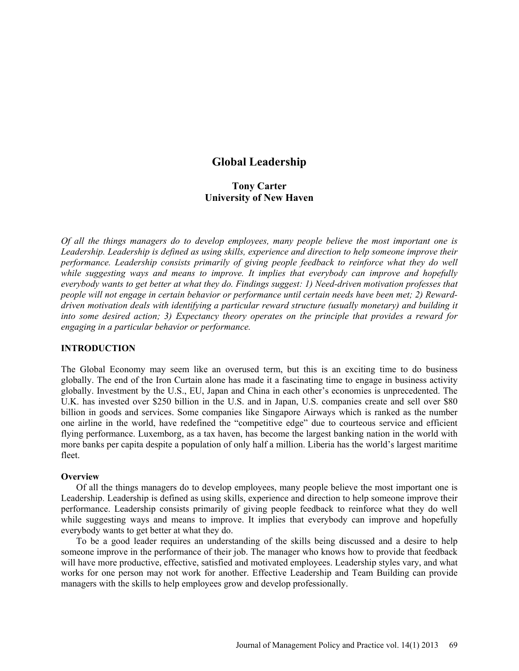# **Global Leadership**

# **Tony Carter University of New Haven**

*Of all the things managers do to develop employees, many people believe the most important one is Leadership. Leadership is defined as using skills, experience and direction to help someone improve their performance. Leadership consists primarily of giving people feedback to reinforce what they do well*  while suggesting ways and means to improve. It implies that everybody can improve and hopefully *everybody wants to get better at what they do. Findings suggest: 1) Need-driven motivation professes that people will not engage in certain behavior or performance until certain needs have been met; 2) Rewarddriven motivation deals with identifying a particular reward structure (usually monetary) and building it into some desired action; 3) Expectancy theory operates on the principle that provides a reward for engaging in a particular behavior or performance.* 

#### **INTRODUCTION**

The Global Economy may seem like an overused term, but this is an exciting time to do business globally. The end of the Iron Curtain alone has made it a fascinating time to engage in business activity globally. Investment by the U.S., EU, Japan and China in each other's economies is unprecedented. The U.K. has invested over \$250 billion in the U.S. and in Japan, U.S. companies create and sell over \$80 billion in goods and services. Some companies like Singapore Airways which is ranked as the number one airline in the world, have redefined the "competitive edge" due to courteous service and efficient flying performance. Luxemborg, as a tax haven, has become the largest banking nation in the world with more banks per capita despite a population of only half a million. Liberia has the world's largest maritime fleet.

#### **Overview**

Of all the things managers do to develop employees, many people believe the most important one is Leadership. Leadership is defined as using skills, experience and direction to help someone improve their performance. Leadership consists primarily of giving people feedback to reinforce what they do well while suggesting ways and means to improve. It implies that everybody can improve and hopefully everybody wants to get better at what they do.

To be a good leader requires an understanding of the skills being discussed and a desire to help someone improve in the performance of their job. The manager who knows how to provide that feedback will have more productive, effective, satisfied and motivated employees. Leadership styles vary, and what works for one person may not work for another. Effective Leadership and Team Building can provide managers with the skills to help employees grow and develop professionally.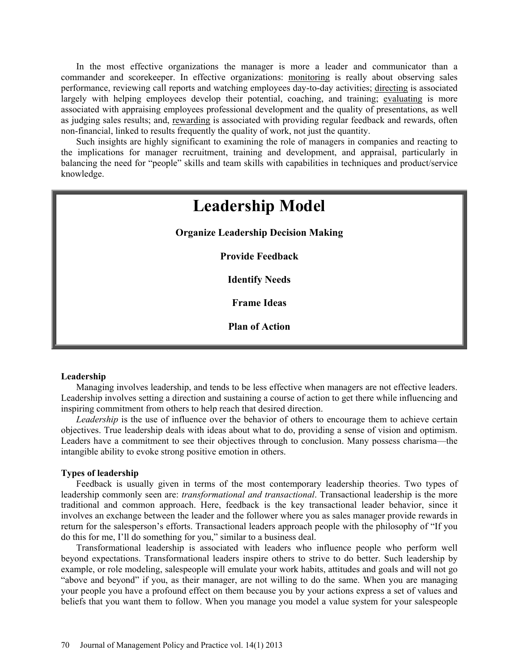In the most effective organizations the manager is more a leader and communicator than a commander and scorekeeper. In effective organizations: monitoring is really about observing sales performance, reviewing call reports and watching employees day-to-day activities; directing is associated largely with helping employees develop their potential, coaching, and training; evaluating is more associated with appraising employees professional development and the quality of presentations, as well as judging sales results; and, rewarding is associated with providing regular feedback and rewards, often non-financial, linked to results frequently the quality of work, not just the quantity.

Such insights are highly significant to examining the role of managers in companies and reacting to the implications for manager recruitment, training and development, and appraisal, particularly in balancing the need for "people" skills and team skills with capabilities in techniques and product/service knowledge.

# **Leadership Model Organize Leadership Decision Making Provide Feedback Identify Needs Frame Ideas Plan of Action**

#### **Leadership**

Managing involves leadership, and tends to be less effective when managers are not effective leaders. Leadership involves setting a direction and sustaining a course of action to get there while influencing and inspiring commitment from others to help reach that desired direction.

*Leadership* is the use of influence over the behavior of others to encourage them to achieve certain objectives. True leadership deals with ideas about what to do, providing a sense of vision and optimism. Leaders have a commitment to see their objectives through to conclusion. Many possess charisma—the intangible ability to evoke strong positive emotion in others.

#### **Types of leadership**

Feedback is usually given in terms of the most contemporary leadership theories. Two types of leadership commonly seen are: *transformational and transactional*. Transactional leadership is the more traditional and common approach. Here, feedback is the key transactional leader behavior, since it involves an exchange between the leader and the follower where you as sales manager provide rewards in return for the salesperson's efforts. Transactional leaders approach people with the philosophy of "If you do this for me, I'll do something for you," similar to a business deal.

Transformational leadership is associated with leaders who influence people who perform well beyond expectations. Transformational leaders inspire others to strive to do better. Such leadership by example, or role modeling, salespeople will emulate your work habits, attitudes and goals and will not go "above and beyond" if you, as their manager, are not willing to do the same. When you are managing your people you have a profound effect on them because you by your actions express a set of values and beliefs that you want them to follow. When you manage you model a value system for your salespeople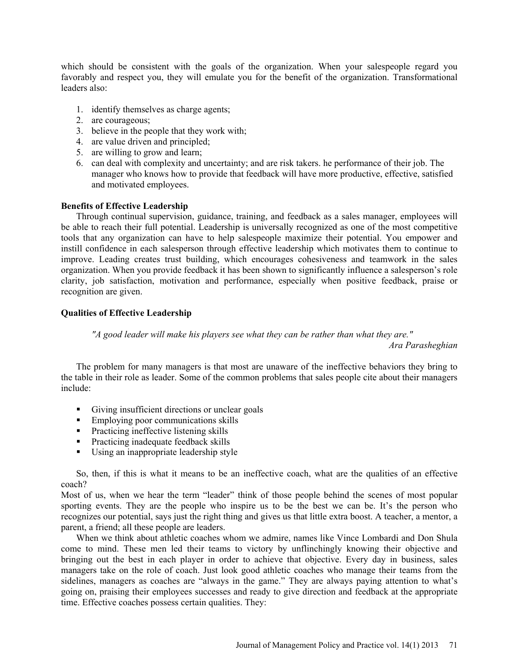which should be consistent with the goals of the organization. When your salespeople regard you favorably and respect you, they will emulate you for the benefit of the organization. Transformational leaders also:

- 1. identify themselves as charge agents;
- 2. are courageous;
- 3. believe in the people that they work with;
- 4. are value driven and principled;
- 5. are willing to grow and learn;
- 6. can deal with complexity and uncertainty; and are risk takers. he performance of their job. The manager who knows how to provide that feedback will have more productive, effective, satisfied and motivated employees.

#### **Benefits of Effective Leadership**

Through continual supervision, guidance, training, and feedback as a sales manager, employees will be able to reach their full potential. Leadership is universally recognized as one of the most competitive tools that any organization can have to help salespeople maximize their potential. You empower and instill confidence in each salesperson through effective leadership which motivates them to continue to improve. Leading creates trust building, which encourages cohesiveness and teamwork in the sales organization. When you provide feedback it has been shown to significantly influence a salesperson's role clarity, job satisfaction, motivation and performance, especially when positive feedback, praise or recognition are given.

### **Qualities of Effective Leadership**

*"A good leader will make his players see what they can be rather than what they are."* 

*Ara Parasheghian*

The problem for many managers is that most are unaware of the ineffective behaviors they bring to the table in their role as leader. Some of the common problems that sales people cite about their managers include:

- Giving insufficient directions or unclear goals
- **Employing poor communications skills**
- Practicing ineffective listening skills
- **Practicing inadequate feedback skills**
- Using an inappropriate leadership style

So, then, if this is what it means to be an ineffective coach, what are the qualities of an effective coach?

Most of us, when we hear the term "leader" think of those people behind the scenes of most popular sporting events. They are the people who inspire us to be the best we can be. It's the person who recognizes our potential, says just the right thing and gives us that little extra boost. A teacher, a mentor, a parent, a friend; all these people are leaders.

When we think about athletic coaches whom we admire, names like Vince Lombardi and Don Shula come to mind. These men led their teams to victory by unflinchingly knowing their objective and bringing out the best in each player in order to achieve that objective. Every day in business, sales managers take on the role of coach. Just look good athletic coaches who manage their teams from the sidelines, managers as coaches are "always in the game." They are always paying attention to what's going on, praising their employees successes and ready to give direction and feedback at the appropriate time. Effective coaches possess certain qualities. They: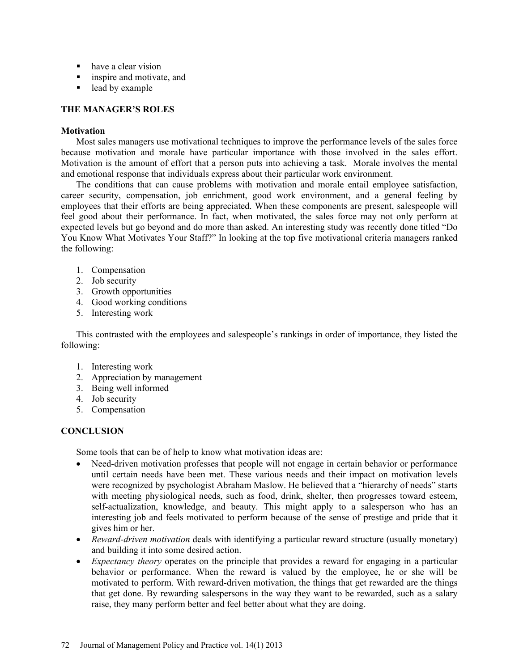- have a clear vision
- **Example 3** inspire and motivate, and
- lead by example

## **THE MANAGER'S ROLES**

## **Motivation**

Most sales managers use motivational techniques to improve the performance levels of the sales force because motivation and morale have particular importance with those involved in the sales effort. Motivation is the amount of effort that a person puts into achieving a task. Morale involves the mental and emotional response that individuals express about their particular work environment.

The conditions that can cause problems with motivation and morale entail employee satisfaction, career security, compensation, job enrichment, good work environment, and a general feeling by employees that their efforts are being appreciated. When these components are present, salespeople will feel good about their performance. In fact, when motivated, the sales force may not only perform at expected levels but go beyond and do more than asked. An interesting study was recently done titled "Do You Know What Motivates Your Staff?" In looking at the top five motivational criteria managers ranked the following:

- 1. Compensation
- 2. Job security
- 3. Growth opportunities
- 4. Good working conditions
- 5. Interesting work

This contrasted with the employees and salespeople's rankings in order of importance, they listed the following:

- 1. Interesting work
- 2. Appreciation by management
- 3. Being well informed
- 4. Job security
- 5. Compensation

# **CONCLUSION**

Some tools that can be of help to know what motivation ideas are:

- Need-driven motivation professes that people will not engage in certain behavior or performance until certain needs have been met. These various needs and their impact on motivation levels were recognized by psychologist Abraham Maslow. He believed that a "hierarchy of needs" starts with meeting physiological needs, such as food, drink, shelter, then progresses toward esteem, self-actualization, knowledge, and beauty. This might apply to a salesperson who has an interesting job and feels motivated to perform because of the sense of prestige and pride that it gives him or her.
- *Reward-driven motivation* deals with identifying a particular reward structure (usually monetary) and building it into some desired action.
- *Expectancy theory* operates on the principle that provides a reward for engaging in a particular behavior or performance. When the reward is valued by the employee, he or she will be motivated to perform. With reward-driven motivation, the things that get rewarded are the things that get done. By rewarding salespersons in the way they want to be rewarded, such as a salary raise, they many perform better and feel better about what they are doing.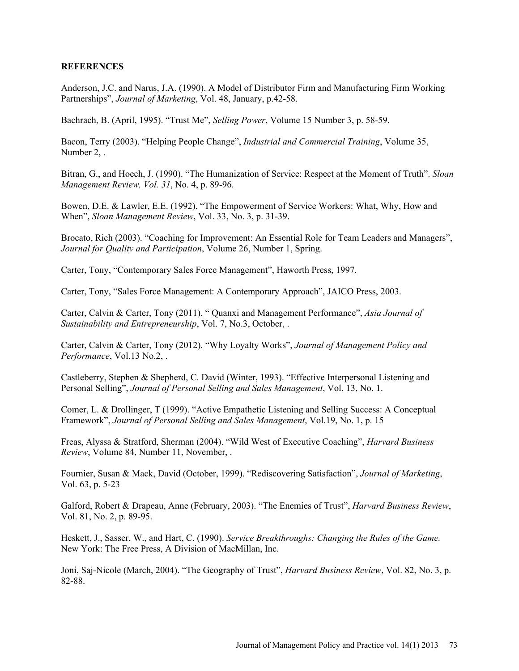### **REFERENCES**

Anderson, J.C. and Narus, J.A. (1990). A Model of Distributor Firm and Manufacturing Firm Working Partnerships", *Journal of Marketing*, Vol. 48, January, p.42-58.

Bachrach, B. (April, 1995). "Trust Me", *Selling Power*, Volume 15 Number 3, p. 58-59.

Bacon, Terry (2003). "Helping People Change", *Industrial and Commercial Training*, Volume 35, Number 2, .

Bitran, G., and Hoech, J. (1990). "The Humanization of Service: Respect at the Moment of Truth". *Sloan Management Review, Vol. 31*, No. 4, p. 89-96.

Bowen, D.E. & Lawler, E.E. (1992). "The Empowerment of Service Workers: What, Why, How and When", *Sloan Management Review*, Vol. 33, No. 3, p. 31-39.

Brocato, Rich (2003). "Coaching for Improvement: An Essential Role for Team Leaders and Managers", *Journal for Quality and Participation*, Volume 26, Number 1, Spring.

Carter, Tony, "Contemporary Sales Force Management", Haworth Press, 1997.

Carter, Tony, "Sales Force Management: A Contemporary Approach", JAICO Press, 2003.

Carter, Calvin & Carter, Tony (2011). " Quanxi and Management Performance", *Asia Journal of Sustainability and Entrepreneurship*, Vol. 7, No.3, October, .

Carter, Calvin & Carter, Tony (2012). "Why Loyalty Works", *Journal of Management Policy and Performance*, Vol.13 No.2, .

Castleberry, Stephen & Shepherd, C. David (Winter, 1993). "Effective Interpersonal Listening and Personal Selling", *Journal of Personal Selling and Sales Management*, Vol. 13, No. 1.

Comer, L. & Drollinger, T (1999). "Active Empathetic Listening and Selling Success: A Conceptual Framework", *Journal of Personal Selling and Sales Management*, Vol.19, No. 1, p. 15

Freas, Alyssa & Stratford, Sherman (2004). "Wild West of Executive Coaching", *Harvard Business Review*, Volume 84, Number 11, November, .

Fournier, Susan & Mack, David (October, 1999). "Rediscovering Satisfaction", *Journal of Marketing*, Vol. 63, p. 5-23

Galford, Robert & Drapeau, Anne (February, 2003). "The Enemies of Trust", *Harvard Business Review*, Vol. 81, No. 2, p. 89-95.

Heskett, J., Sasser, W., and Hart, C. (1990). *Service Breakthroughs: Changing the Rules of the Game.* New York: The Free Press, A Division of MacMillan, Inc.

Joni, Saj-Nicole (March, 2004). "The Geography of Trust", *Harvard Business Review*, Vol. 82, No. 3, p. 82-88.